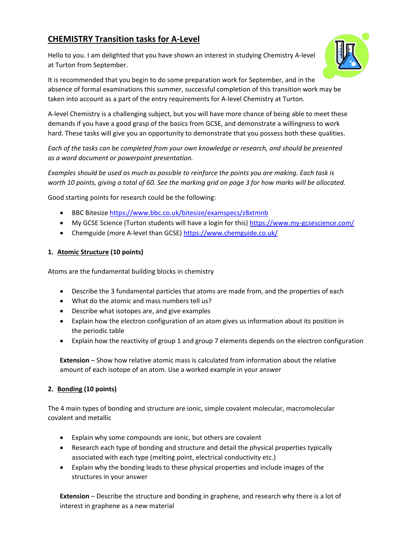# **CHEMISTRY Transition tasks for A-Level**

Hello to you. I am delighted that you have shown an interest in studying Chemistry A-level at Turton from September.



It is recommended that you begin to do some preparation work for September, and in the absence of formal examinations this summer, successful completion of this transition work may be taken into account as a part of the entry requirements for A-level Chemistry at Turton.

A-level Chemistry is a challenging subject, but you will have more chance of being able to meet these demands if you have a good grasp of the basics from GCSE, and demonstrate a willingness to work hard. These tasks will give you an opportunity to demonstrate that you possess both these qualities.

*Each of the tasks can be completed from your own knowledge or research, and should be presented as a word document or powerpoint presentation.* 

*Examples should be used as much as possible to reinforce the points you are making. Each task is worth 10 points, giving a total of 60. See the marking grid on page 3 for how marks will be allocated.*

Good starting points for research could be the following:

- BBC Bitesize <https://www.bbc.co.uk/bitesize/examspecs/z8xtmnb>
- My GCSE Science (Turton students will have a login for this)<https://www.my-gcsescience.com/>
- Chemguide (more A-level than GCSE)<https://www.chemguide.co.uk/>

#### **1. Atomic Structure (10 points)**

Atoms are the fundamental building blocks in chemistry

- Describe the 3 fundamental particles that atoms are made from, and the properties of each
- What do the atomic and mass numbers tell us?
- Describe what isotopes are, and give examples
- Explain how the electron configuration of an atom gives us information about its position in the periodic table
- Explain how the reactivity of group 1 and group 7 elements depends on the electron configuration

**Extension** – Show how relative atomic mass is calculated from information about the relative amount of each isotope of an atom. Use a worked example in your answer

### **2. Bonding (10 points)**

The 4 main types of bonding and structure are ionic, simple covalent molecular, macromolecular covalent and metallic

- Explain why some compounds are ionic, but others are covalent
- Research each type of bonding and structure and detail the physical properties typically associated with each type (melting point, electrical conductivity etc.)
- Explain why the bonding leads to these physical properties and include images of the structures in your answer

**Extension** – Describe the structure and bonding in graphene, and research why there is a lot of interest in graphene as a new material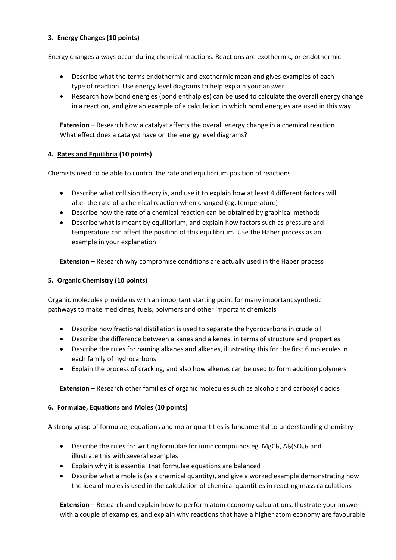#### **3. Energy Changes (10 points)**

Energy changes always occur during chemical reactions. Reactions are exothermic, or endothermic

- Describe what the terms endothermic and exothermic mean and gives examples of each type of reaction. Use energy level diagrams to help explain your answer
- Research how bond energies (bond enthalpies) can be used to calculate the overall energy change in a reaction, and give an example of a calculation in which bond energies are used in this way

**Extension** – Research how a catalyst affects the overall energy change in a chemical reaction. What effect does a catalyst have on the energy level diagrams?

#### **4. Rates and Equilibria (10 points)**

Chemists need to be able to control the rate and equilibrium position of reactions

- Describe what collision theory is, and use it to explain how at least 4 different factors will alter the rate of a chemical reaction when changed (eg. temperature)
- Describe how the rate of a chemical reaction can be obtained by graphical methods
- Describe what is meant by equilibrium, and explain how factors such as pressure and temperature can affect the position of this equilibrium. Use the Haber process as an example in your explanation

**Extension** – Research why compromise conditions are actually used in the Haber process

#### **5. Organic Chemistry (10 points)**

Organic molecules provide us with an important starting point for many important synthetic pathways to make medicines, fuels, polymers and other important chemicals

- Describe how fractional distillation is used to separate the hydrocarbons in crude oil
- Describe the difference between alkanes and alkenes, in terms of structure and properties
- Describe the rules for naming alkanes and alkenes, illustrating this for the first 6 molecules in each family of hydrocarbons
- Explain the process of cracking, and also how alkenes can be used to form addition polymers

**Extension** – Research other families of organic molecules such as alcohols and carboxylic acids

#### **6. Formulae, Equations and Moles (10 points)**

A strong grasp of formulae, equations and molar quantities is fundamental to understanding chemistry

- Describe the rules for writing formulae for ionic compounds eg. MgCl<sub>2</sub>, Al<sub>2</sub>(SO<sub>4</sub>)<sub>3</sub> and illustrate this with several examples
- Explain why it is essential that formulae equations are balanced
- Describe what a mole is (as a chemical quantity), and give a worked example demonstrating how the idea of moles is used in the calculation of chemical quantities in reacting mass calculations

**Extension** – Research and explain how to perform atom economy calculations. Illustrate your answer with a couple of examples, and explain why reactions that have a higher atom economy are favourable